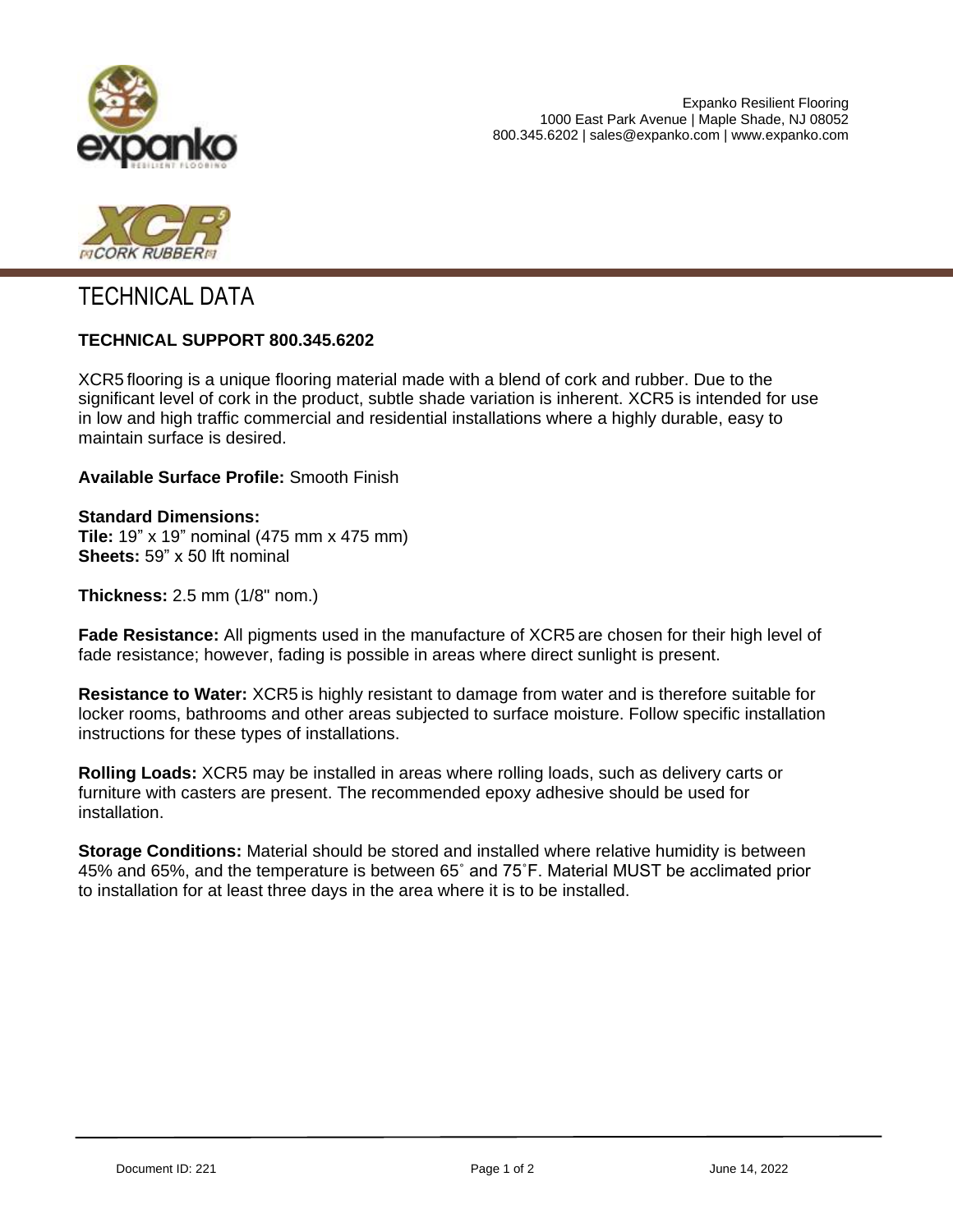



## TECHNICAL DATA

## **TECHNICAL SUPPORT 800.345.6202**

XCR5 flooring is a unique flooring material made with a blend of cork and rubber. Due to the significant level of cork in the product, subtle shade variation is inherent. XCR5 is intended for use in low and high traffic commercial and residential installations where a highly durable, easy to maintain surface is desired.

**Available Surface Profile:** Smooth Finish

**Standard Dimensions: Tile:** 19" x 19" nominal (475 mm x 475 mm) **Sheets:** 59" x 50 lft nominal

**Thickness:** 2.5 mm (1/8" nom.)

**Fade Resistance:** All pigments used in the manufacture of XCR5 are chosen for their high level of fade resistance; however, fading is possible in areas where direct sunlight is present.

**Resistance to Water:** XCR5 is highly resistant to damage from water and is therefore suitable for locker rooms, bathrooms and other areas subjected to surface moisture. Follow specific installation instructions for these types of installations.

**Rolling Loads:** XCR5 may be installed in areas where rolling loads, such as delivery carts or furniture with casters are present. The recommended epoxy adhesive should be used for installation.

**Storage Conditions:** Material should be stored and installed where relative humidity is between 45% and 65%, and the temperature is between 65˚ and 75˚F. Material MUST be acclimated prior to installation for at least three days in the area where it is to be installed.